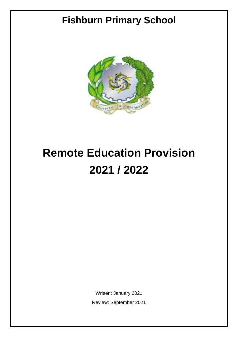## **Fishburn Primary School**



# **Remote Education Provision 2021 / 2022**

Written: January 2021 Review: September 2021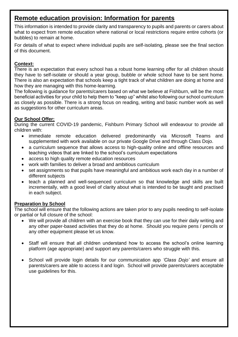## **Remote education provision: Information for parents**

This information is intended to provide clarity and transparency to pupils and parents or carers about what to expect from remote education where national or local restrictions require entire cohorts (or bubbles) to remain at home.

For details of what to expect where individual pupils are self-isolating, please see the final section of this document.

#### **Context:**

There is an expectation that every school has a robust home learning offer for all children should they have to self-isolate or should a year group, bubble or whole school have to be sent home. There is also an expectation that schools keep a tight track of what children are doing at home and how they are managing with this home-learning.

The following is guidance for parents/carers based on what we believe at Fishburn, will be the most beneficial activities for your child to help them to "keep up" whilst also following our school curriculum as closely as possible. There is a strong focus on reading, writing and basic number work as well as suggestions for other curriculum areas.

#### **Our School Offer:**

During the current COVID-19 pandemic, Fishburn Primary School will endeavour to provide all children with:

- immediate remote education delivered predominantly via Microsoft Teams and supplemented with work available on our private Google Drive and through Class Dojo.
- a curriculum sequence that allows access to high-quality online and offline resources and teaching videos that are linked to the school's curriculum expectations
- access to high quality remote education resources
- work with families to deliver a broad and ambitious curriculum
- set assignments so that pupils have meaningful and ambitious work each day in a number of different subjects
- teach a planned and well-sequenced curriculum so that knowledge and skills are built incrementally, with a good level of clarity about what is intended to be taught and practised in each subject.

#### **Preparation by School**

The school will ensure that the following actions are taken prior to any pupils needing to self-isolate or partial or full closure of the school:

- We will provide all children with an exercise book that they can use for their daily writing and any other paper-based activities that they do at home. Should you require pens / pencils or any other equipment please let us know.
- Staff will ensure that all children understand how to access the school's online learning platform (age appropriate) and support any parents/carers who struggle with this.
- School will provide login details for our communication app *'Class Dojo'* and ensure all parents/carers are able to access it and login. School will provide parents/carers acceptable use guidelines for this.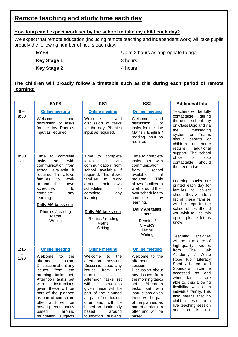## **Remote teaching and study time each day**

#### **How long can I expect work set by the school to take my child each day?**

We expect that remote education (including remote teaching and independent work) will take pupils broadly the following number of hours each day:

| <b>LEYFS</b> | Up to 3 hours as appropriate to age |  |  |
|--------------|-------------------------------------|--|--|
| Key Stage 1  | 3 hours                             |  |  |
| Key Stage 2  | 4 hours                             |  |  |

#### **The children will broadly follow a timetable such as this during each period of remote learning:**

|               | <b>EYFS</b>                                                                                                                                                                                                                                                                                                                                                         | KS1                                                                                                                                                                                                                                                                                                                                                                 | KS <sub>2</sub>                                                                                                                                                                                                                                                                                    | <b>Additional Info</b>                                                                                                                                                                                                                                                                                                                                                                               |  |
|---------------|---------------------------------------------------------------------------------------------------------------------------------------------------------------------------------------------------------------------------------------------------------------------------------------------------------------------------------------------------------------------|---------------------------------------------------------------------------------------------------------------------------------------------------------------------------------------------------------------------------------------------------------------------------------------------------------------------------------------------------------------------|----------------------------------------------------------------------------------------------------------------------------------------------------------------------------------------------------------------------------------------------------------------------------------------------------|------------------------------------------------------------------------------------------------------------------------------------------------------------------------------------------------------------------------------------------------------------------------------------------------------------------------------------------------------------------------------------------------------|--|
| $9 -$<br>9:30 | <b>Online meeting</b><br>Welcome<br>and<br>discussion of tasks<br>for the day. Phonics<br>input as required.                                                                                                                                                                                                                                                        | <b>Online meeting</b><br>Welcome<br>and<br>discussion of tasks<br>for the day. Phonics<br>input as required.                                                                                                                                                                                                                                                        | <b>Online meeting</b><br>Welcome<br>and<br>of<br>discussion<br>tasks for the day<br>Maths / English /<br>reading input as<br>required.                                                                                                                                                             | Teachers will be fully<br>contactable<br>during<br>the usual school day<br>on Class Dojo and via<br>the<br>messaging<br>Teams<br>on<br>system<br>should<br>parents<br>or<br>children<br>at<br>home<br>additional<br>require                                                                                                                                                                          |  |
| 9:30<br>$-1$  | Time<br>to complete<br>with<br>tasks<br>set<br>communication from<br>school available<br>⊤ if<br>required. This allows<br>families<br>to<br>work<br>their<br>around<br>own<br>schedules<br>to<br>complete<br>any<br>learning.<br>Daily AM tasks set:<br>Phonics / reading<br>Maths<br>Writing                                                                       | Time<br>to<br>complete<br>tasks<br>with<br>set<br>communication from<br>school available if<br>required. This allows<br>families<br>to<br>work<br>their<br>around<br>own<br>schedules<br>to<br>complete<br>any<br>learning.<br>Daily AM tasks set:<br>Phonics / reading<br>Maths<br>Writing                                                                         | Time to complete<br>tasks<br>set with<br>communication<br>from<br>school<br>available<br>if<br><b>This</b><br>required.<br>allows families to<br>work around their<br>own schedules to<br>complete<br>any<br>learning.<br>Daily AM tasks<br>set:<br>Reading /<br><b>VIPERS</b><br>Maths<br>Writing | support. The school<br>office<br>also<br>is<br>contactable<br>should<br>the need arise.<br>Learning packs are<br>printed each day for<br>families to collect<br>should they wish to a<br>list of these families<br>will be kept in the<br>school office. Should<br>you wish to use this<br>option please let us<br>know.<br>Teaching<br>activities<br>will be a mixture of<br>high-quality<br>videos |  |
| 1:15<br>1:30  | <b>Online meeting</b><br>Welcome<br>the<br>to<br>session.<br>afternoon<br>Discussion about any<br>from<br>the<br><b>issues</b><br>morning tasks set.<br>Afternoon tasks set<br>with<br>instructions<br>given these will be<br>part of the planned<br>as part of curriculum<br>offer and will be<br>based predominantly<br>based<br>around<br>foundation<br>subjects | <b>Online meeting</b><br>Welcome<br>the<br>to<br>session.<br>afternoon<br>Discussion about any<br>from<br>the<br><b>issues</b><br>morning tasks set.<br>Afternoon tasks set<br>with<br>instructions<br>given these will be<br>part of the planned<br>as part of curriculum<br>offer and will be<br>based predominantly<br>based<br>around<br>foundation<br>subjects | <b>Online meeting</b><br>Welcome to the<br>afternoon<br>session.<br>Discussion about<br>any issues from<br>the morning tasks<br>Afternoon<br>set.<br>tasks<br>set with<br>instructions given<br>these will be part<br>of the planned as<br>part of curriculum<br>offer and will be<br>based        | from<br>The<br>Oak<br>White<br>Academy /<br>Rose Hub / Literacy<br>Shed / Letters and<br>Sounds which can be<br>accessed<br>and<br>as<br>families<br>when<br>are<br>able to, thus allowing<br>flexibility with each<br>individual family. This<br>also means that no<br>child misses out on a<br>live teaching session<br>and<br><b>SO</b><br>is<br>not                                              |  |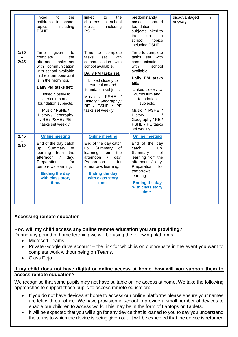|              | linked<br>the<br>to<br>childrens in school<br>topics<br>including<br>PSHE.                                                                                                                                                                                                                                                             | linked<br>the<br>to<br>childrens in school<br>topics<br>including<br>PSHE.                                                                                                                                                                                                 | predominantly<br>based<br>around<br>foundation<br>subjects linked to<br>the childrens in<br>school<br>topics<br>including PSHE.                                                                                                                                    | disadvantaged<br>anyway. | in |
|--------------|----------------------------------------------------------------------------------------------------------------------------------------------------------------------------------------------------------------------------------------------------------------------------------------------------------------------------------------|----------------------------------------------------------------------------------------------------------------------------------------------------------------------------------------------------------------------------------------------------------------------------|--------------------------------------------------------------------------------------------------------------------------------------------------------------------------------------------------------------------------------------------------------------------|--------------------------|----|
| 1:30<br>2:45 | Time<br>given<br>to<br>complete<br>the<br>afternoon tasks set<br>with communication<br>with school available<br>in the afternoons as it<br>is in the mornings.<br>Daily PM tasks set:<br>Linked closely to<br>curriculum and<br>foundation subjects.<br>Music / PSHE /<br>History / Geography<br>/ RE / PSHE / PE<br>tasks set weekly. | Time<br>to complete<br>tasks<br>set<br>with<br>communication with<br>school available.<br>Daily PM tasks set:<br>Linked closely to<br>curriculum and<br>foundation subjects.<br>Music / PSHE<br>$\sqrt{ }$<br>History / Geography /<br>RE / PSHE / PE<br>tasks set weekly. | Time to complete<br>tasks set with<br>communication<br>school<br>with<br>available.<br>Daily PM tasks<br>set:<br>Linked closely to<br>curriculum and<br>foundation<br>subjects.<br>Music / PSHE /<br>History<br>Geography / RE /<br>PSHE / PE tasks<br>set weekly. |                          |    |
| 2:45<br>3:10 | <b>Online meeting</b><br>End of the day catch<br>Summary<br>up.<br>οf<br>learning from<br>the<br>afternoon /<br>day.<br>for<br>Preparation<br>tomorrows learning.<br><b>Ending the day</b><br>with class story<br>time.                                                                                                                | <b>Online meeting</b><br>End of the day catch<br>Summary<br>up.<br>οf<br>learning from<br>the<br>afternoon /<br>day.<br>for<br>Preparation<br>tomorrows learning.<br><b>Ending the day</b><br>with class story<br>time.                                                    | <b>Online meeting</b><br>End of the day<br>catch<br>up.<br>Summary<br>οf<br>learning from the<br>afternoon / day.<br>Preparation<br>for<br>tomorrows<br>learning.<br><b>Ending the day</b><br>with class story<br>time.                                            |                          |    |

#### **Accessing remote education**

#### **How will my child access any online remote education you are providing?**

During any period of home learning we will be using the following platforms

- Microsoft Teams
- Private Google drive account the link for which is on our website in the event you want to complete work without being on Teams.
- Class Dojo

#### **If my child does not have digital or online access at home, how will you support them to access remote education?**

We recognise that some pupils may not have suitable online access at home. We take the following approaches to support those pupils to access remote education:

- If you do not have devices at home to access our online platforms please ensure your names are left with our office. We have provision in school to provide a small number of devices to enable our children to access work. This may be in the form of Laptops or Tablets.
- It will be expected that you will sign for any device that is loaned to you to say you understand the terms to which the device is being given out. It will be expected that the device is returned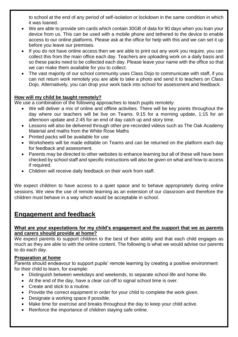to school at the end of any period of self-isolation or lockdown in the same condition in which it was loaned.

- We are able to provide sim cards which contain 30GB of data for 90 days when you loan your device from us. This can be used with a mobile phone and tethered to the device to enable access to our online platforms. Please ask at the office for help with this and we can set it up before you leave our premises.
- If you do not have online access then we are able to print out any work you require, you can collect this from the main office each day. Teachers are uploading work on a daily basis and so these packs need to be collected each day. Please leave your name with the office so that we can make them available for you to collect.
- The vast majority of our school community uses Class Dojo to communicate with staff, if you can not return work remotely you are able to take a photo and send it to teachers on Class Dojo. Alternatively, you can drop your work back into school for assessment and feedback.

#### **How will my child be taught remotely?**

We use a combination of the following approaches to teach pupils remotely:

- We will deliver a mix of online and offline activities. There will be key points throughout the day where our teachers will be live on Teams. 9:15 for a morning update, 1:15 for an afternoon update and 2:45 for an end of day catch up and story time.
- Lessons will also be delivered through other pre-recorded videos such as The Oak Academy Material and maths from the White Rose Maths
- Printed packs will be available for use
- Worksheets will be made editable on Teams and can be returned on the platform each day for feedback and assessment.
- Parents may be directed to other websites to enhance learning but all of these will have been checked by school staff and specific instructions will also be given on what and how to access if required.
- Children will receive daily feedback on their work from staff.

We expect children to have access to a quiet space and to behave appropriately during online sessions. We view the use of remote learning as an extension of our classroom and therefore the children must behave in a way which would be acceptable in school.

## **Engagement and feedback**

#### **What are your expectations for my child's engagement and the support that we as parents and carers should provide at home?**

We expect parents to support children to the best of their ability and that each child engages as much as they are able to with the online content. The following is what we would advise our parents to do each day.

#### **Preparation at home**

Parents should endeavour to support pupils' remote learning by creating a positive environment for their child to learn, for example:

- Distinguish between weekdays and weekends, to separate school life and home life.
- At the end of the day, have a clear cut-off to signal school time is over.
- Create and stick to a routine.
- Provide the correct equipment in order for your child to complete the work given.
- Designate a working space if possible.
- Make time for exercise and breaks throughout the day to keep your child active.
- Reinforce the importance of children staying safe online.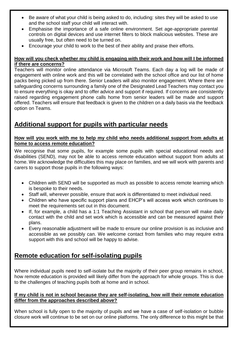- Be aware of what your child is being asked to do, including: sites they will be asked to use and the school staff your child will interact with.
- Emphasise the importance of a safe online environment. Set age-appropriate parental controls on digital devices and use internet filters to block malicious websites. These are usually free, but often need to be turned on.
- Encourage your child to work to the best of their ability and praise their efforts.

#### **How will you check whether my child is engaging with their work and how will I be informed if there are concerns?**

Teachers will monitor online attendance via Microsoft Teams. Each day a log will be made of engagement with online work and this will be correlated with the school office and our list of home packs being picked up from there. Senior Leaders will also monitor engagement. Where there are safeguarding concerns surrounding a family one of the Designated Lead Teachers may contact you to ensure everything is okay and to offer advice and support if required. If concerns are consistently raised regarding engagement phone calls home from senior leaders will be made and support offered. Teachers will ensure that feedback is given to the children on a daily basis via the feedback option on Teams.

## **Additional support for pupils with particular needs**

#### **How will you work with me to help my child who needs additional support from adults at home to access remote education?**

We recognise that some pupils, for example some pupils with special educational needs and disabilities (SEND), may not be able to access remote education without support from adults at home. We acknowledge the difficulties this may place on families, and we will work with parents and carers to support those pupils in the following ways:

- Children with SEND will be supported as much as possible to access remote learning which is bespoke to their needs.
- Staff will, wherever possible, ensure that work is differentiated to meet individual need.
- Children who have specific support plans and EHCP's will access work which continues to meet the requirements set out in this document.
- If, for example, a child has a 1:1 Teaching Assistant in school that person will make daily contact with the child and set work which is accessible and can be measured against their plans.
- Every reasonable adjustment will be made to ensure our online provision is as inclusive and accessible as we possibly can. We welcome contact from families who may require extra support with this and school will be happy to advise.

## **Remote education for self-isolating pupils**

Where individual pupils need to self-isolate but the majority of their peer group remains in school, how remote education is provided will likely differ from the approach for whole groups. This is due to the challenges of teaching pupils both at home and in school.

#### **If my child is not in school because they are self-isolating, how will their remote education differ from the approaches described above?**

When school is fully open to the majority of pupils and we have a case of self-isolation or bubble closure work will continue to be set on our online platforms. The only difference to this might be that